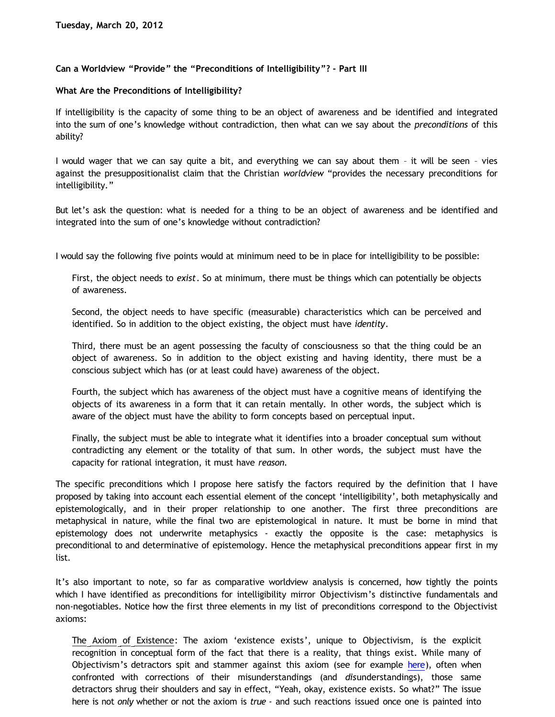## **Can a Worldview "Provide" the "Preconditions of Intelligibility"? - Part III**

## **What Are the Preconditions of Intelligibility?**

If intelligibility is the capacity of some thing to be an object of awareness and be identified and integrated into the sum of one's knowledge without contradiction, then what can we say about the *preconditions* of this ability?

I would wager that we can say quite a bit, and everything we can say about them – it will be seen – vies against the presuppositionalist claim that the Christian *worldview* "provides the necessary preconditions for intelligibility."

But let's ask the question: what is needed for a thing to be an object of awareness and be identified and integrated into the sum of one's knowledge without contradiction?

I would say the following five points would at minimum need to be in place for intelligibility to be possible:

First, the object needs to *exist*. So at minimum, there must be things which can potentially be objects of awareness.

Second, the object needs to have specific (measurable) characteristics which can be perceived and identified. So in addition to the object existing, the object must have *identity*.

Third, there must be an agent possessing the faculty of consciousness so that the thing could be an object of awareness. So in addition to the object existing and having identity, there must be a conscious subject which has (or at least could have) awareness of the object.

Fourth, the subject which has awareness of the object must have a cognitive means of identifying the objects of its awareness in a form that it can retain mentally. In other words, the subject which is aware of the object must have the ability to form concepts based on perceptual input.

Finally, the subject must be able to integrate what it identifies into a broader conceptual sum without contradicting any element or the totality of that sum. In other words, the subject must have the capacity for rational integration, it must have *reason.*

The specific preconditions which I propose here satisfy the factors required by the definition that I have proposed by taking into account each essential element of the concept 'intelligibility', both metaphysically and epistemologically, and in their proper relationship to one another. The first three preconditions are metaphysical in nature, while the final two are epistemological in nature. It must be borne in mind that epistemology does not underwrite metaphysics - exactly the opposite is the case: metaphysics is preconditional to and determinative of epistemology. Hence the metaphysical preconditions appear first in my list.

It's also important to note, so far as comparative worldview analysis is concerned, how tightly the points which I have identified as preconditions for intelligibility mirror Objectivism's distinctive fundamentals and non-negotiables. Notice how the first three elements in my list of preconditions correspond to the Objectivist axioms:

The Axiom of Existence: The axiom 'existence exists', unique to Objectivism, is the explicit recognition in conceptual form of the fact that there is a reality, that things exist. While many of Objectivism's detractors spit and stammer against this axiom (see for example [here\)](http://katholon.com/Vallicella.htm), often when confronted with corrections of their misunderstandings (and *dis*understandings), those same detractors shrug their shoulders and say in effect, "Yeah, okay, existence exists. So what?" The issue here is not *only* whether or not the axiom is *true* - and such reactions issued once one is painted into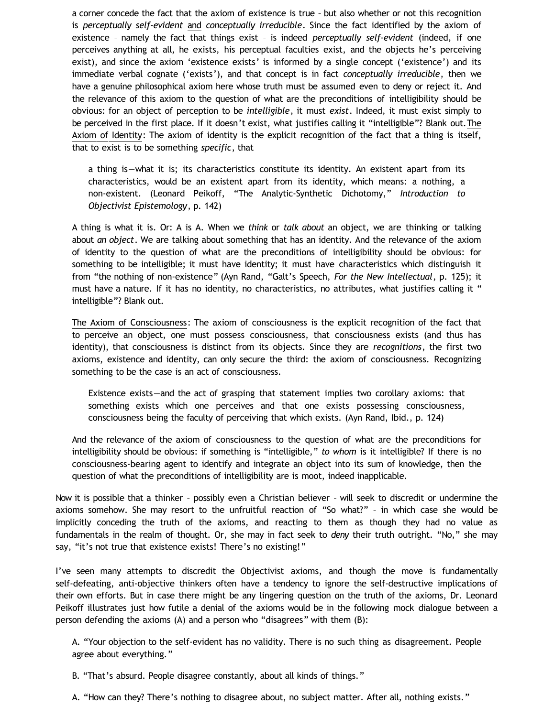a corner concede the fact that the axiom of existence is true – but also whether or not this recognition is *perceptually self-evident* and *conceptually irreducible*. Since the fact identified by the axiom of existence – namely the fact that things exist – is indeed *perceptually self-evident* (indeed, if one perceives anything at all, he exists, his perceptual faculties exist, and the objects he's perceiving exist), and since the axiom 'existence exists' is informed by a single concept ('existence') and its immediate verbal cognate ('exists'), and that concept is in fact *conceptually irreducible*, then we have a genuine philosophical axiom here whose truth must be assumed even to deny or reject it. And the relevance of this axiom to the question of what are the preconditions of intelligibility should be obvious: for an object of perception to be *intelligible*, it must *exist*. Indeed, it must exist simply to be perceived in the first place. If it doesn't exist, what justifies calling it "intelligible"? Blank out.The Axiom of Identity: The axiom of identity is the explicit recognition of the fact that a thing is itself, that to exist is to be something *specific*, that

a thing is—what it is; its characteristics constitute its identity. An existent apart from its characteristics, would be an existent apart from its identity, which means: a nothing, a non-existent. (Leonard Peikoff, "The Analytic-Synthetic Dichotomy," *Introduction to Objectivist Epistemology*, p. 142)

A thing is what it is. Or: A is A. When we *think* or *talk about* an object, we are thinking or talking about *an object*. We are talking about something that has an identity. And the relevance of the axiom of identity to the question of what are the preconditions of intelligibility should be obvious: for something to be intelligible; it must have identity; it must have characteristics which distinguish it from "the nothing of non-existence" (Ayn Rand, "Galt's Speech, *For the New Intellectual*, p. 125); it must have a nature. If it has no identity, no characteristics, no attributes, what justifies calling it " intelligible"? Blank out.

The Axiom of Consciousness: The axiom of consciousness is the explicit recognition of the fact that to perceive an object, one must possess consciousness, that consciousness exists (and thus has identity), that consciousness is distinct from its objects. Since they are *recognitions*, the first two axioms, existence and identity, can only secure the third: the axiom of consciousness. Recognizing something to be the case is an act of consciousness.

Existence exists—and the act of grasping that statement implies two corollary axioms: that something exists which one perceives and that one exists possessing consciousness, consciousness being the faculty of perceiving that which exists. (Ayn Rand, Ibid., p. 124)

And the relevance of the axiom of consciousness to the question of what are the preconditions for intelligibility should be obvious: if something is "intelligible," *to whom* is it intelligible? If there is no consciousness-bearing agent to identify and integrate an object into its sum of knowledge, then the question of what the preconditions of intelligibility are is moot, indeed inapplicable.

Now it is possible that a thinker – possibly even a Christian believer – will seek to discredit or undermine the axioms somehow. She may resort to the unfruitful reaction of "So what?" – in which case she would be implicitly conceding the truth of the axioms, and reacting to them as though they had no value as fundamentals in the realm of thought. Or, she may in fact seek to *deny* their truth outright. "No," she may say, "it's not true that existence exists! There's no existing!"

I've seen many attempts to discredit the Objectivist axioms, and though the move is fundamentally self-defeating, anti-objective thinkers often have a tendency to ignore the self-destructive implications of their own efforts. But in case there might be any lingering question on the truth of the axioms, Dr. Leonard Peikoff illustrates just how futile a denial of the axioms would be in the following mock dialogue between a person defending the axioms (A) and a person who "disagrees" with them (B):

A. "Your objection to the self-evident has no validity. There is no such thing as disagreement. People agree about everything."

B. "That's absurd. People disagree constantly, about all kinds of things."

A. "How can they? There's nothing to disagree about, no subject matter. After all, nothing exists."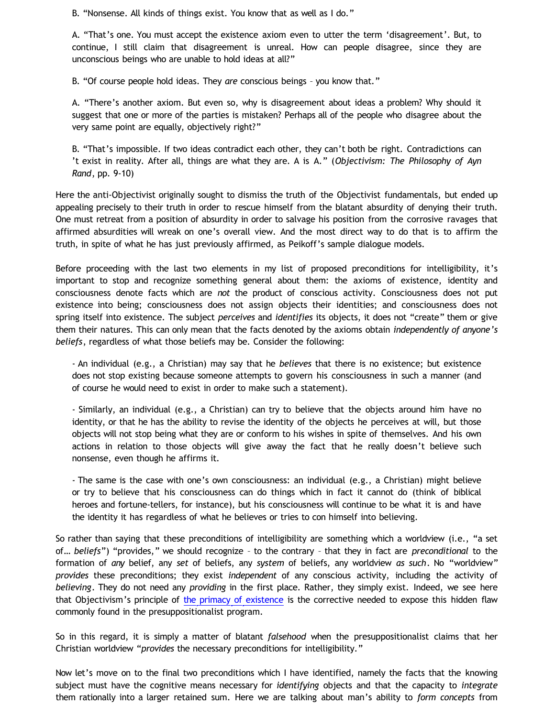B. "Nonsense. All kinds of things exist. You know that as well as I do."

A. "That's one. You must accept the existence axiom even to utter the term 'disagreement'. But, to continue, I still claim that disagreement is unreal. How can people disagree, since they are unconscious beings who are unable to hold ideas at all?"

B. "Of course people hold ideas. They *are* conscious beings – you know that."

A. "There's another axiom. But even so, why is disagreement about ideas a problem? Why should it suggest that one or more of the parties is mistaken? Perhaps all of the people who disagree about the very same point are equally, objectively right?"

B. "That's impossible. If two ideas contradict each other, they can't both be right. Contradictions can 't exist in reality. After all, things are what they are. A is A." (*Objectivism: The Philosophy of Ayn Rand*, pp. 9-10)

Here the anti-Objectivist originally sought to dismiss the truth of the Objectivist fundamentals, but ended up appealing precisely to their truth in order to rescue himself from the blatant absurdity of denying their truth. One must retreat from a position of absurdity in order to salvage his position from the corrosive ravages that affirmed absurdities will wreak on one's overall view. And the most direct way to do that is to affirm the truth, in spite of what he has just previously affirmed, as Peikoff's sample dialogue models.

Before proceeding with the last two elements in my list of proposed preconditions for intelligibility, it's important to stop and recognize something general about them: the axioms of existence, identity and consciousness denote facts which are *not* the product of conscious activity. Consciousness does not put existence into being; consciousness does not assign objects their identities; and consciousness does not spring itself into existence. The subject *perceives* and *identifies* its objects, it does not "create" them or give them their natures. This can only mean that the facts denoted by the axioms obtain *independently of anyone's beliefs*, regardless of what those beliefs may be. Consider the following:

- An individual (e.g., a Christian) may say that he *believes* that there is no existence; but existence does not stop existing because someone attempts to govern his consciousness in such a manner (and of course he would need to exist in order to make such a statement).

- Similarly, an individual (e.g., a Christian) can try to believe that the objects around him have no identity, or that he has the ability to revise the identity of the objects he perceives at will, but those objects will not stop being what they are or conform to his wishes in spite of themselves. And his own actions in relation to those objects will give away the fact that he really doesn't believe such nonsense, even though he affirms it.

- The same is the case with one's own consciousness: an individual (e.g., a Christian) might believe or try to believe that his consciousness can do things which in fact it cannot do (think of biblical heroes and fortune-tellers, for instance), but his consciousness will continue to be what it is and have the identity it has regardless of what he believes or tries to con himself into believing.

So rather than saying that these preconditions of intelligibility are something which a worldview (i.e., "a set of… *beliefs*") "provides," we should recognize – to the contrary – that they in fact are *preconditional* to the formation of *any* belief, any *set* of beliefs, any *system* of beliefs, any worldview *as such*. No "worldview" *provides* these preconditions; they exist *independent* of any conscious activity, including the activity of *believing*. They do not need any *providing* in the first place. Rather, they simply exist. Indeed, we see here that Objectivism's principle of [the primacy of existence](http://bahnsenburner.blogspot.com/2006/12/axioms-and-primacy-of-existence.html) is the corrective needed to expose this hidden flaw commonly found in the presuppositionalist program.

So in this regard, it is simply a matter of blatant *falsehood* when the presuppositionalist claims that her Christian worldview "*provides* the necessary preconditions for intelligibility."

Now let's move on to the final two preconditions which I have identified, namely the facts that the knowing subject must have the cognitive means necessary for *identifying* objects and that the capacity to *integrate* them rationally into a larger retained sum. Here we are talking about man's ability to *form concepts* from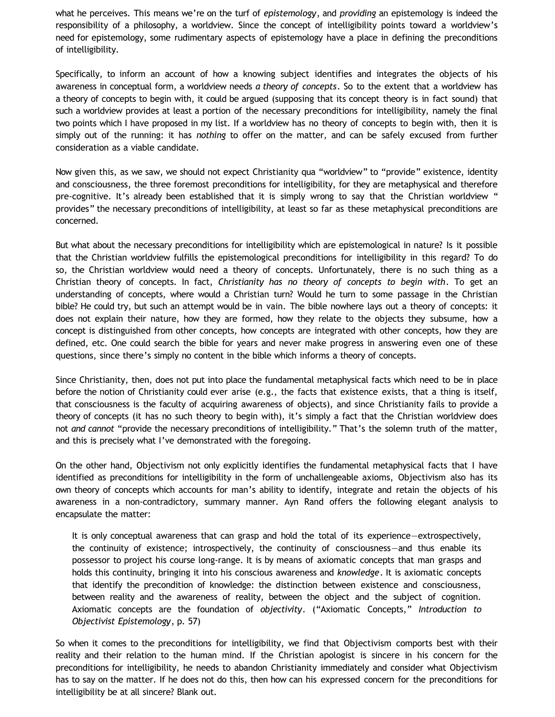what he perceives. This means we're on the turf of *epistemology*, and *providing* an epistemology is indeed the responsibility of a philosophy, a worldview. Since the concept of intelligibility points toward a worldview's need for epistemology, some rudimentary aspects of epistemology have a place in defining the preconditions of intelligibility.

Specifically, to inform an account of how a knowing subject identifies and integrates the objects of his awareness in conceptual form, a worldview needs *a theory of concepts*. So to the extent that a worldview has a theory of concepts to begin with, it could be argued (supposing that its concept theory is in fact sound) that such a worldview provides at least a portion of the necessary preconditions for intelligibility, namely the final two points which I have proposed in my list. If a worldview has no theory of concepts to begin with, then it is simply out of the running: it has *nothing* to offer on the matter, and can be safely excused from further consideration as a viable candidate.

Now given this, as we saw, we should not expect Christianity qua "worldview" to "provide" existence, identity and consciousness, the three foremost preconditions for intelligibility, for they are metaphysical and therefore pre-cognitive. It's already been established that it is simply wrong to say that the Christian worldview " provides" the necessary preconditions of intelligibility, at least so far as these metaphysical preconditions are concerned.

But what about the necessary preconditions for intelligibility which are epistemological in nature? Is it possible that the Christian worldview fulfills the epistemological preconditions for intelligibility in this regard? To do so, the Christian worldview would need a theory of concepts. Unfortunately, there is no such thing as a Christian theory of concepts. In fact, *Christianity has no theory of concepts to begin with*. To get an understanding of concepts, where would a Christian turn? Would he turn to some passage in the Christian bible? He could try, but such an attempt would be in vain. The bible nowhere lays out a theory of concepts: it does not explain their nature, how they are formed, how they relate to the objects they subsume, how a concept is distinguished from other concepts, how concepts are integrated with other concepts, how they are defined, etc. One could search the bible for years and never make progress in answering even one of these questions, since there's simply no content in the bible which informs a theory of concepts.

Since Christianity, then, does not put into place the fundamental metaphysical facts which need to be in place before the notion of Christianity could ever arise (e.g., the facts that existence exists, that a thing is itself, that consciousness is the faculty of acquiring awareness of objects), and since Christianity fails to provide a theory of concepts (it has no such theory to begin with), it's simply a fact that the Christian worldview does not *and cannot* "provide the necessary preconditions of intelligibility." That's the solemn truth of the matter, and this is precisely what I've demonstrated with the foregoing.

On the other hand, Objectivism not only explicitly identifies the fundamental metaphysical facts that I have identified as preconditions for intelligibility in the form of unchallengeable axioms, Objectivism also has its own theory of concepts which accounts for man's ability to identify, integrate and retain the objects of his awareness in a non-contradictory, summary manner. Ayn Rand offers the following elegant analysis to encapsulate the matter:

It is only conceptual awareness that can grasp and hold the total of its experience—extrospectively, the continuity of existence; introspectively, the continuity of consciousness—and thus enable its possessor to project his course long-range. It is by means of axiomatic concepts that man grasps and holds this continuity, bringing it into his conscious awareness and *knowledge*. It is axiomatic concepts that identify the precondition of knowledge: the distinction between existence and consciousness, between reality and the awareness of reality, between the object and the subject of cognition. Axiomatic concepts are the foundation of *objectivity*. ("Axiomatic Concepts," *Introduction to Objectivist Epistemology*, p. 57)

So when it comes to the preconditions for intelligibility, we find that Objectivism comports best with their reality and their relation to the human mind. If the Christian apologist is sincere in his concern for the preconditions for intelligibility, he needs to abandon Christianity immediately and consider what Objectivism has to say on the matter. If he does not do this, then how can his expressed concern for the preconditions for intelligibility be at all sincere? Blank out.